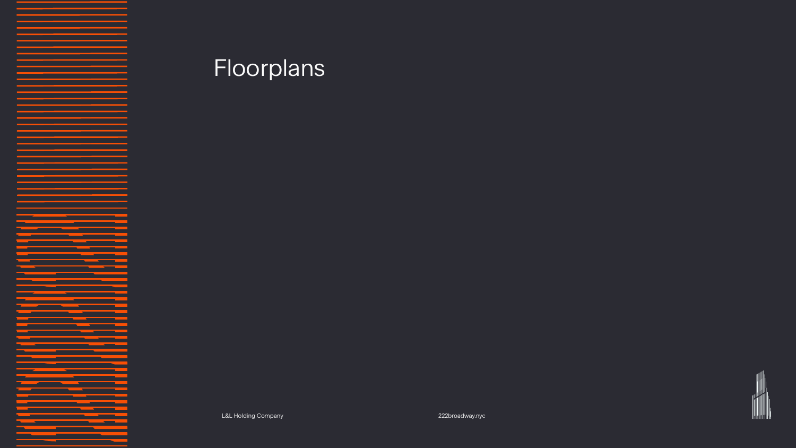L&L Holding Company 222broadway.nyc 16



# Floorplans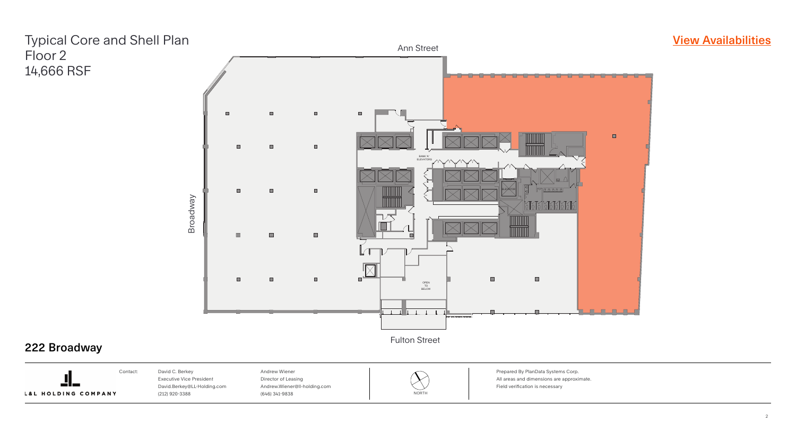

### **[View Availabilities](https://marketplace.vts.com/market_buildings/222-broadway-new-york-ny?utm_source=Landlord%20Marketing&utm_medium=brochure)**

Fulton Street



### 222 Broadway



Prepared By PlanData Systems Corp. All areas and dimensions are approximate. Field verification is necessary



### Typical Core and Shell Plan Floor 2 14,666 RSF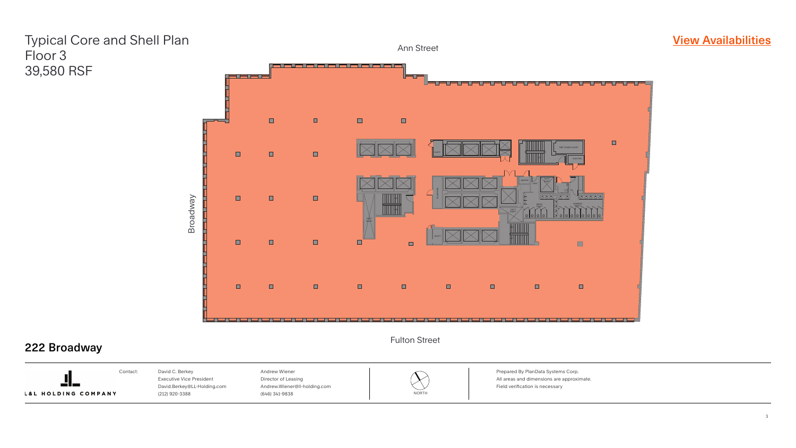

### **[View Availabilities](https://marketplace.vts.com/market_buildings/222-broadway-new-york-ny?utm_source=Landlord%20Marketing&utm_medium=brochure)**

Prepared By PlanData Systems Corp. All areas and dimensions are approximate. Field verification is necessary







#### Fulton Street



## Typical Core and Shell Plan Floor 3 39,580 RSF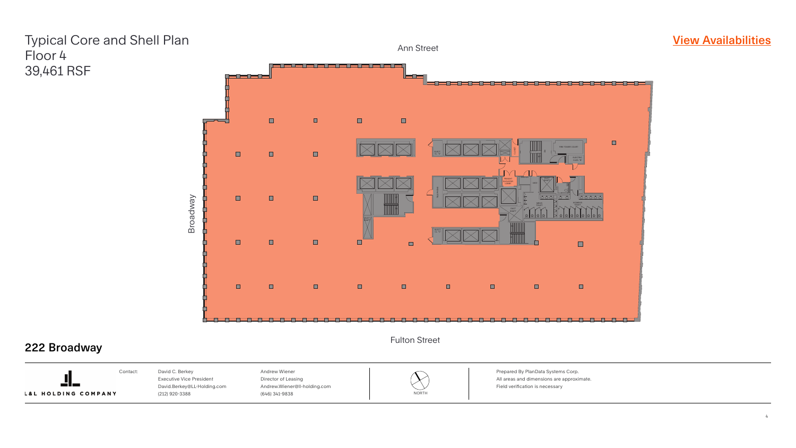

### **[View Availabilities](https://marketplace.vts.com/market_buildings/222-broadway-new-york-ny?utm_source=Landlord%20Marketing&utm_medium=brochure)**

Prepared By PlanData Systems Corp. All areas and dimensions are approximate. Field verification is necessary







#### Fulton Street



## Typical Core and Shell Plan Floor 4 39,461 RSF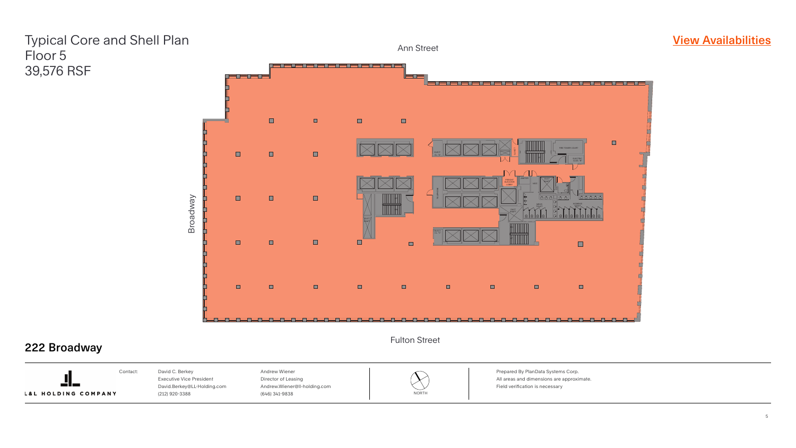

Prepared By PlanData Systems Corp. All areas and dimensions are approximate. Field verification is necessary





#### Fulton Street



## Typical Core and Shell Plan Floor 5 39,576 RSF

![](_page_4_Picture_9.jpeg)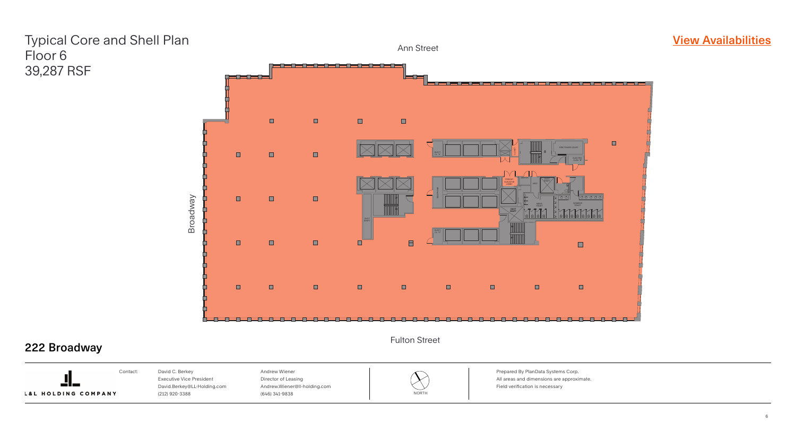![](_page_5_Picture_3.jpeg)

#### $\blacksquare$  $\qquad \qquad \Box$ FIRE TOWER COURT CLOSET a ELECT. CL. "A" UP ELECTRIC CLOS. "B" JANITOR DUCTSHAFTDUCT FREIGHT SHAFT ELEVATOR VEST. LOBBY TELEPHONE UP TOILET WOMEN'S MEN'S<br>TOILET DN DUCT SHAFT DN ELECT. CL. "C" UP  $\blacksquare$  $\blacksquare$  $\blacksquare$  $\blacksquare$  $\blacksquare$  $\blacksquare$  $\blacksquare$

Prepared By PlanData Systems Corp. All areas and dimensions are approximate. Field verification is necessary

### **[View Availabilities](https://marketplace.vts.com/market_buildings/222-broadway-new-york-ny?utm_source=Landlord%20Marketing&utm_medium=brochure)**

![](_page_5_Picture_9.jpeg)

![](_page_5_Picture_6.jpeg)

Ann Street

### Fulton Street

![](_page_5_Figure_1.jpeg)

## Typical Core and Shell Plan Floor 6 39,287 RSF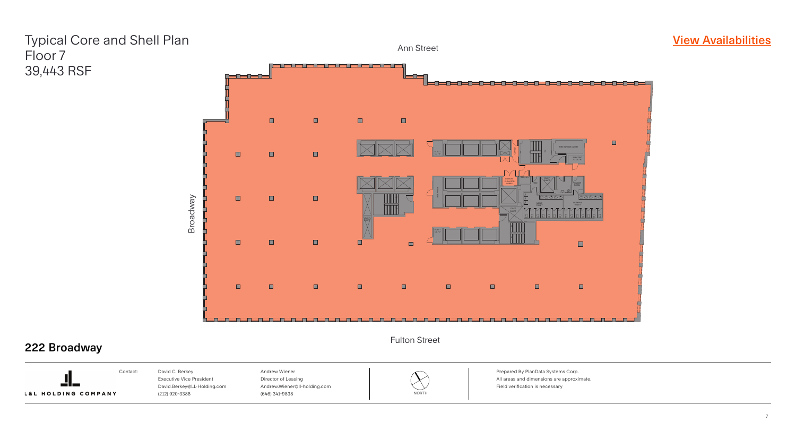![](_page_6_Picture_3.jpeg)

Prepared By PlanData Systems Corp. All areas and dimensions are approximate. Field verification is necessary

### **[View Availabilities](https://marketplace.vts.com/market_buildings/222-broadway-new-york-ny?utm_source=Landlord%20Marketing&utm_medium=brochure)**

![](_page_6_Picture_9.jpeg)

![](_page_6_Picture_6.jpeg)

Ann Street

### Fulton Street

![](_page_6_Picture_1.jpeg)

## Typical Core and Shell Plan Floor 7 39,443 RSF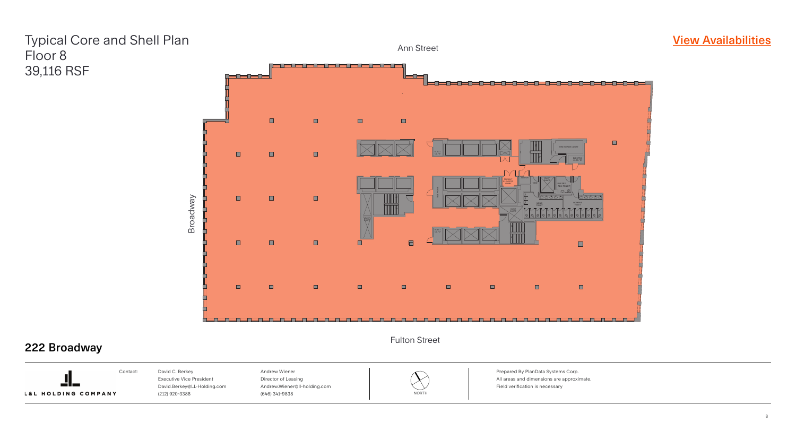![](_page_7_Picture_3.jpeg)

Prepared By PlanData Systems Corp. All areas and dimensions are approximate. Field verification is necessary

### **[View Availabilities](https://marketplace.vts.com/market_buildings/222-broadway-new-york-ny?utm_source=Landlord%20Marketing&utm_medium=brochure)**

![](_page_7_Picture_9.jpeg)

![](_page_7_Picture_6.jpeg)

#### Ann Street

#### Fulton Street

![](_page_7_Picture_1.jpeg)

## Typical Core and Shell Plan Floor 8 39,116 RSF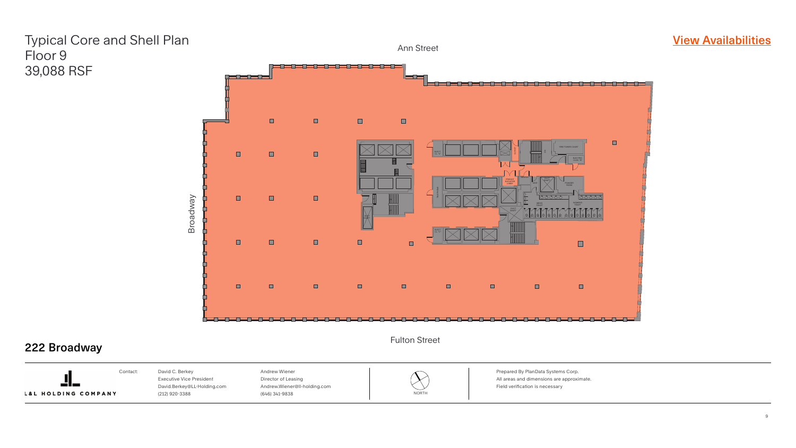![](_page_8_Picture_3.jpeg)

### **[View Availabilities](https://marketplace.vts.com/market_buildings/222-broadway-new-york-ny?utm_source=Landlord%20Marketing&utm_medium=brochure)**

Prepared By PlanData Systems Corp. All areas and dimensions are approximate. Field verification is necessary

![](_page_8_Picture_8.jpeg)

![](_page_8_Picture_6.jpeg)

Ann Street

### Fulton Street

![](_page_8_Picture_1.jpeg)

## Typical Core and Shell Plan Floor 9 39,088 RSF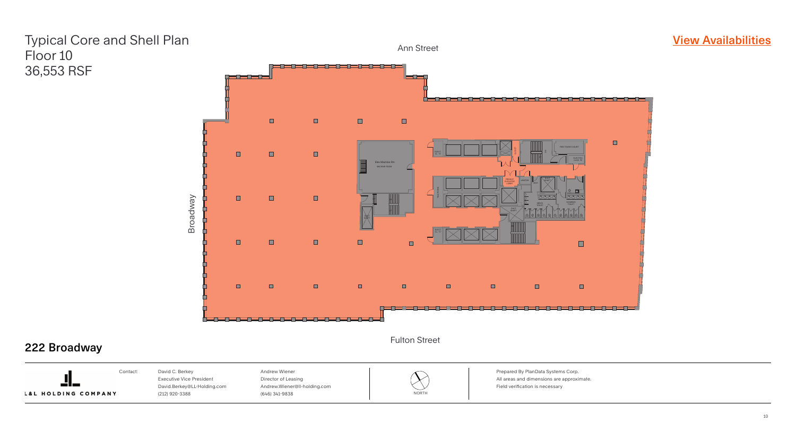![](_page_9_Picture_3.jpeg)

Prepared By PlanData Systems Corp. All areas and dimensions are approximate. Field verification is necessary

### **[View Availabilities](https://marketplace.vts.com/market_buildings/222-broadway-new-york-ny?utm_source=Landlord%20Marketing&utm_medium=brochure)**

![](_page_9_Picture_9.jpeg)

![](_page_9_Picture_6.jpeg)

#### Ann Street

#### Fulton Street

![](_page_9_Picture_1.jpeg)

## Typical Core and Shell Plan Floor 10 36,553 RSF

![](_page_9_Picture_10.jpeg)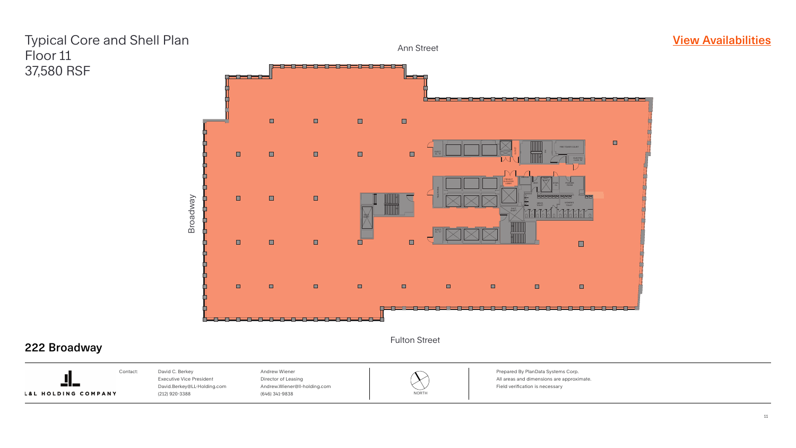![](_page_10_Picture_3.jpeg)

Prepared By PlanData Systems Corp. All areas and dimensions are approximate. Field verification is necessary

### **[View Availabilities](https://marketplace.vts.com/market_buildings/222-broadway-new-york-ny?utm_source=Landlord%20Marketing&utm_medium=brochure)**

![](_page_10_Picture_9.jpeg)

![](_page_10_Picture_6.jpeg)

#### Ann Street

Fulton Street

![](_page_10_Picture_1.jpeg)

## Typical Core and Shell Plan Floor 11 37,580 RSF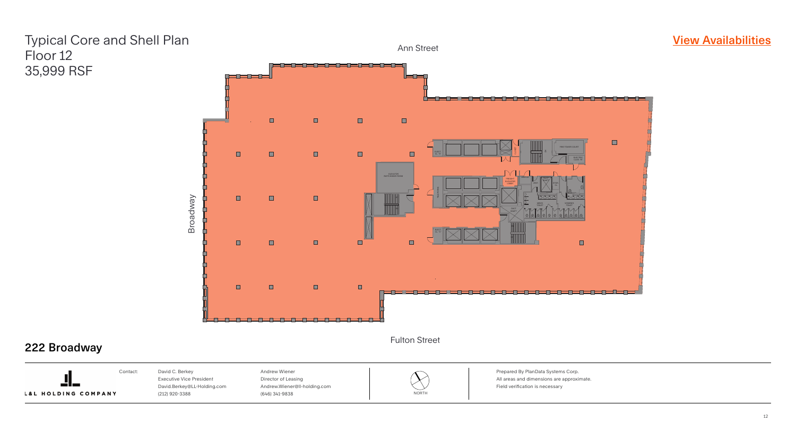![](_page_11_Picture_3.jpeg)

Prepared By PlanData Systems Corp. All areas and dimensions are approximate. Field verification is necessary

### **[View Availabilities](https://marketplace.vts.com/market_buildings/222-broadway-new-york-ny?utm_source=Landlord%20Marketing&utm_medium=brochure)**

![](_page_11_Picture_9.jpeg)

![](_page_11_Picture_6.jpeg)

#### Ann Street

Fulton Street

![](_page_11_Picture_1.jpeg)

## Typical Core and Shell Plan Floor 12 35,999 RSF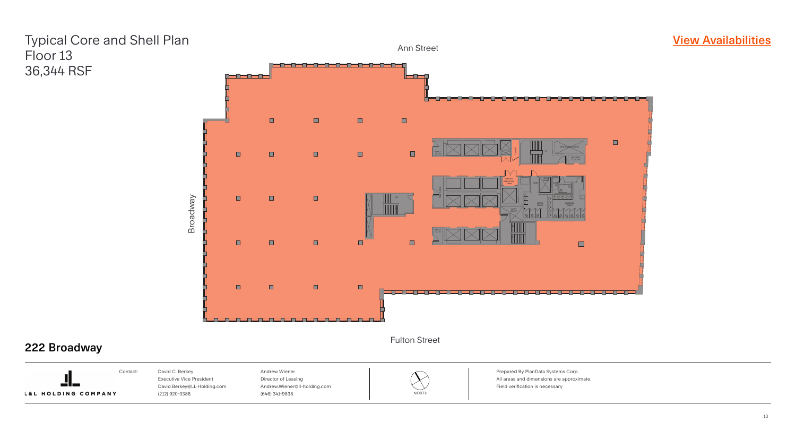![](_page_12_Picture_3.jpeg)

### **[View Availabilities](https://marketplace.vts.com/market_buildings/222-broadway-new-york-ny?utm_source=Landlord%20Marketing&utm_medium=brochure)**

Prepared By PlanData Systems Corp. All areas and dimensions are approximate. Field verification is necessary

![](_page_12_Picture_9.jpeg)

![](_page_12_Picture_7.jpeg)

#### Ann Street

Fulton Street

![](_page_12_Picture_1.jpeg)

## Typical Core and Shell Plan Floor 13 36,344 RSF

![](_page_12_Picture_10.jpeg)